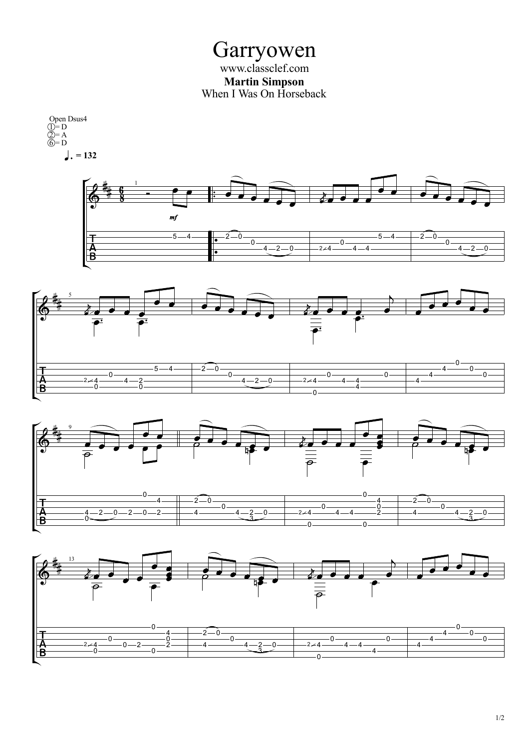Garryowen www.classclef.com **Martin Simpson** When I Was On Horseback